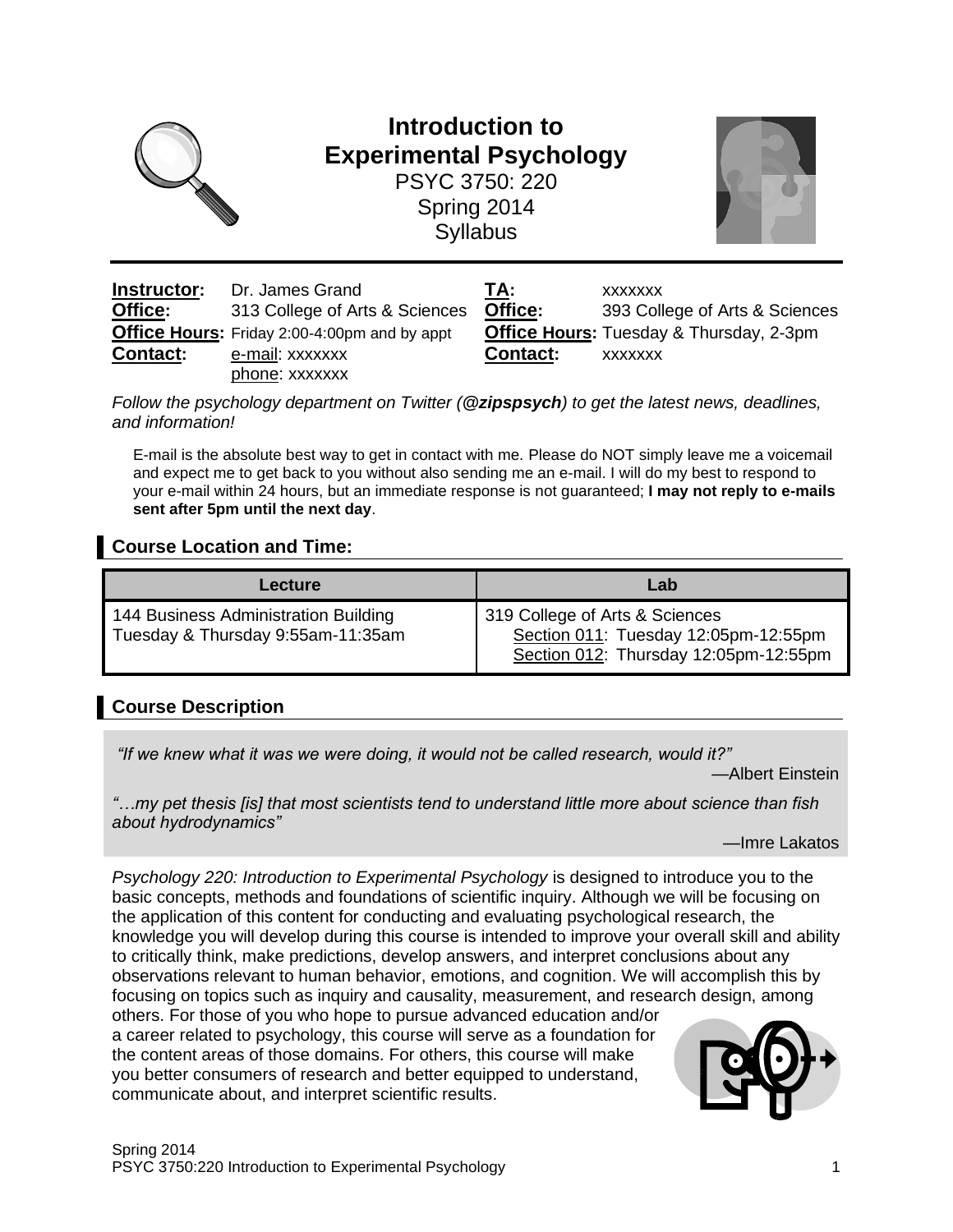

# **Introduction to Experimental Psychology** PSYC 3750: 220

Spring 2014 **Syllabus** 



| Instructor:     | Dr. James Grand                                     | TA:                          | <b>XXXXXXX</b> |
|-----------------|-----------------------------------------------------|------------------------------|----------------|
| Office:         | 313 College of Arts & Sciences                      | Office:                      | 393 Col        |
|                 | <b>Office Hours:</b> Friday 2:00-4:00pm and by appt | <b>Office Hours: Tuesday</b> |                |
| <b>Contact:</b> | e-mail: xxxxxxx                                     | <b>Contact:</b>              | <b>XXXXXXX</b> |
|                 | phone: xxxxxxx                                      |                              |                |

**Office:** 393 College of Arts & Sciences **Office Hours: Tuesday & Thursday, 2-3pm Contact:** xxxxxxx

*Follow the psychology department on Twitter (@zipspsych) to get the latest news, deadlines, and information!*

E-mail is the absolute best way to get in contact with me. Please do NOT simply leave me a voicemail and expect me to get back to you without also sending me an e-mail. I will do my best to respond to your e-mail within 24 hours, but an immediate response is not guaranteed; **I may not reply to e-mails sent after 5pm until the next day**.

## **Course Location and Time:**

| Lecture                                                                   | Lab                                                                                                             |
|---------------------------------------------------------------------------|-----------------------------------------------------------------------------------------------------------------|
| 144 Business Administration Building<br>Tuesday & Thursday 9:55am-11:35am | 319 College of Arts & Sciences<br>Section 011: Tuesday 12:05pm-12:55pm<br>Section 012: Thursday 12:05pm-12:55pm |

## **Course Description**

*"If we knew what it was we were doing, it would not be called research, would it?"*

—Albert Einstein

*"…my pet thesis [is] that most scientists tend to understand little more about science than fish about hydrodynamics"*

—Imre Lakatos

*Psychology 220: Introduction to Experimental Psychology* is designed to introduce you to the basic concepts, methods and foundations of scientific inquiry. Although we will be focusing on the application of this content for conducting and evaluating psychological research, the knowledge you will develop during this course is intended to improve your overall skill and ability to critically think, make predictions, develop answers, and interpret conclusions about any observations relevant to human behavior, emotions, and cognition. We will accomplish this by focusing on topics such as inquiry and causality, measurement, and research design, among others. For those of you who hope to pursue advanced education and/or a career related to psychology, this course will serve as a foundation for the content areas of those domains. For others, this course will make you better consumers of research and better equipped to understand,



communicate about, and interpret scientific results.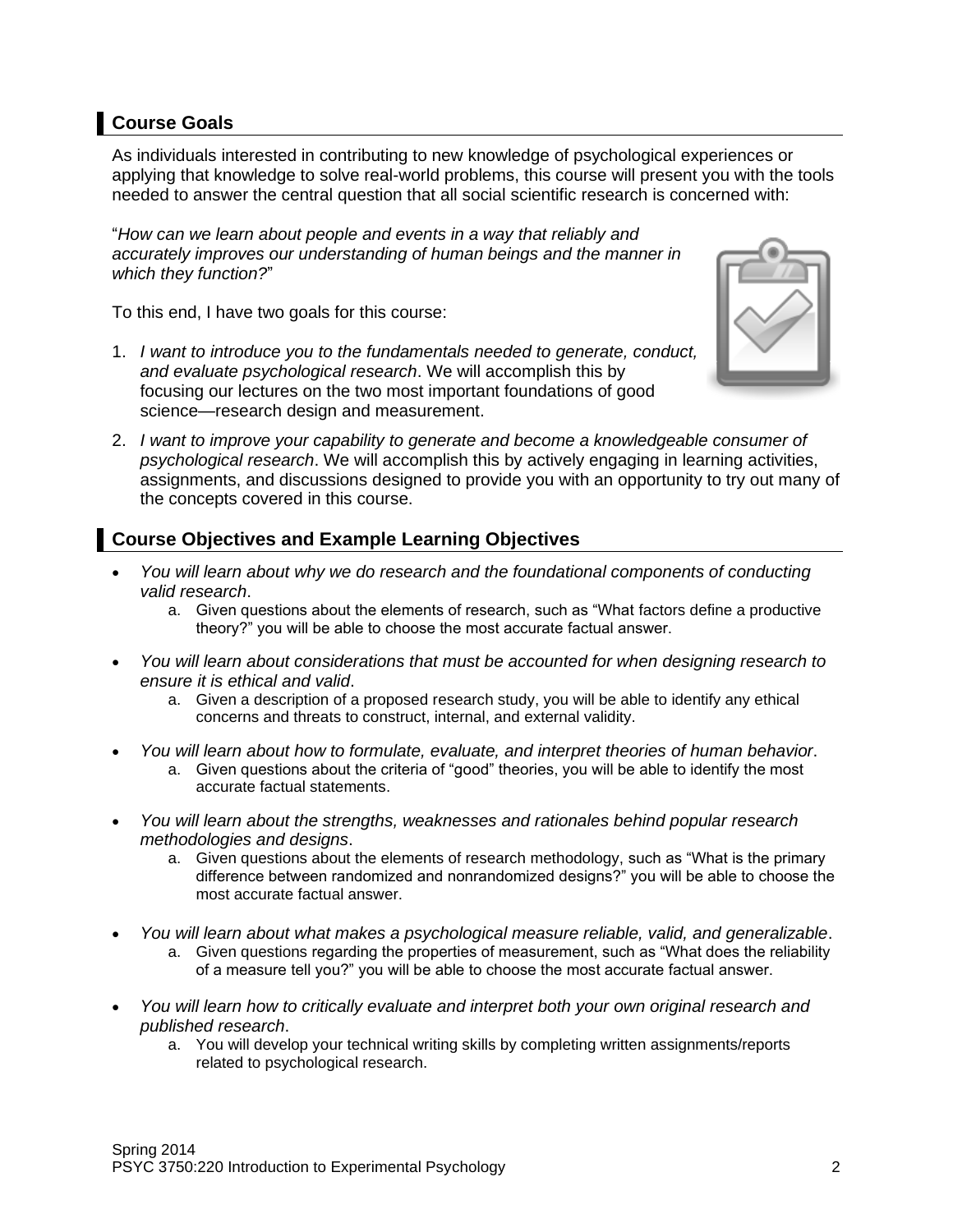## **Course Goals**

As individuals interested in contributing to new knowledge of psychological experiences or applying that knowledge to solve real-world problems, this course will present you with the tools needed to answer the central question that all social scientific research is concerned with:

"*How can we learn about people and events in a way that reliably and accurately improves our understanding of human beings and the manner in which they function?*"

To this end, I have two goals for this course:

1. *I want to introduce you to the fundamentals needed to generate, conduct, and evaluate psychological research*. We will accomplish this by focusing our lectures on the two most important foundations of good science—research design and measurement.



2. *I want to improve your capability to generate and become a knowledgeable consumer of psychological research*. We will accomplish this by actively engaging in learning activities, assignments, and discussions designed to provide you with an opportunity to try out many of the concepts covered in this course.

## **Course Objectives and Example Learning Objectives**

- *You will learn about why we do research and the foundational components of conducting valid research*.
	- a. Given questions about the elements of research, such as "What factors define a productive theory?" you will be able to choose the most accurate factual answer.
- *You will learn about considerations that must be accounted for when designing research to ensure it is ethical and valid*.
	- a. Given a description of a proposed research study, you will be able to identify any ethical concerns and threats to construct, internal, and external validity.
- *You will learn about how to formulate, evaluate, and interpret theories of human behavior*.
	- a. Given questions about the criteria of "good" theories, you will be able to identify the most accurate factual statements.
- *You will learn about the strengths, weaknesses and rationales behind popular research methodologies and designs*.
	- a. Given questions about the elements of research methodology, such as "What is the primary difference between randomized and nonrandomized designs?" you will be able to choose the most accurate factual answer.
- *You will learn about what makes a psychological measure reliable, valid, and generalizable*. a. Given questions regarding the properties of measurement, such as "What does the reliability of a measure tell you?" you will be able to choose the most accurate factual answer.
- *You will learn how to critically evaluate and interpret both your own original research and published research*.
	- a. You will develop your technical writing skills by completing written assignments/reports related to psychological research.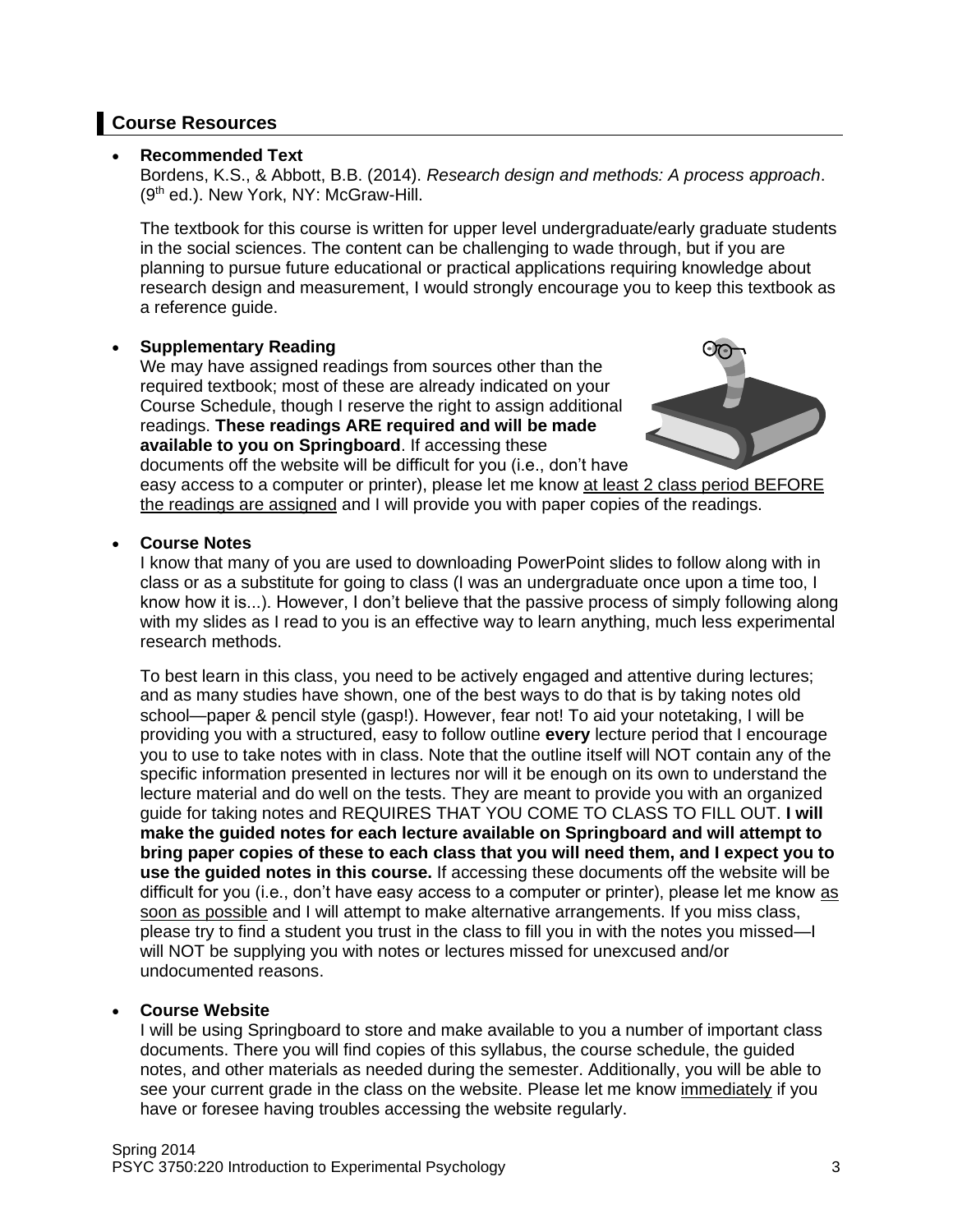### **Course Resources**

### • **Recommended Text**

Bordens, K.S., & Abbott, B.B. (2014). *Research design and methods: A process approach*. (9<sup>th</sup> ed.). New York, NY: McGraw-Hill.

The textbook for this course is written for upper level undergraduate/early graduate students in the social sciences. The content can be challenging to wade through, but if you are planning to pursue future educational or practical applications requiring knowledge about research design and measurement, I would strongly encourage you to keep this textbook as a reference guide.

### • **Supplementary Reading**

We may have assigned readings from sources other than the required textbook; most of these are already indicated on your Course Schedule, though I reserve the right to assign additional readings. **These readings ARE required and will be made available to you on Springboard**. If accessing these documents off the website will be difficult for you (i.e., don't have



easy access to a computer or printer), please let me know at least 2 class period BEFORE the readings are assigned and I will provide you with paper copies of the readings.

### • **Course Notes**

I know that many of you are used to downloading PowerPoint slides to follow along with in class or as a substitute for going to class (I was an undergraduate once upon a time too, I know how it is...). However, I don't believe that the passive process of simply following along with my slides as I read to you is an effective way to learn anything, much less experimental research methods.

To best learn in this class, you need to be actively engaged and attentive during lectures; and as many studies have shown, one of the best ways to do that is by taking notes old school—paper & pencil style (gasp!). However, fear not! To aid your notetaking, I will be providing you with a structured, easy to follow outline **every** lecture period that I encourage you to use to take notes with in class. Note that the outline itself will NOT contain any of the specific information presented in lectures nor will it be enough on its own to understand the lecture material and do well on the tests. They are meant to provide you with an organized guide for taking notes and REQUIRES THAT YOU COME TO CLASS TO FILL OUT. **I will make the guided notes for each lecture available on Springboard and will attempt to bring paper copies of these to each class that you will need them, and I expect you to use the guided notes in this course.** If accessing these documents off the website will be difficult for you (i.e., don't have easy access to a computer or printer), please let me know as soon as possible and I will attempt to make alternative arrangements. If you miss class, please try to find a student you trust in the class to fill you in with the notes you missed—I will NOT be supplying you with notes or lectures missed for unexcused and/or undocumented reasons.

### • **Course Website**

I will be using Springboard to store and make available to you a number of important class documents. There you will find copies of this syllabus, the course schedule, the guided notes, and other materials as needed during the semester. Additionally, you will be able to see your current grade in the class on the website. Please let me know immediately if you have or foresee having troubles accessing the website regularly.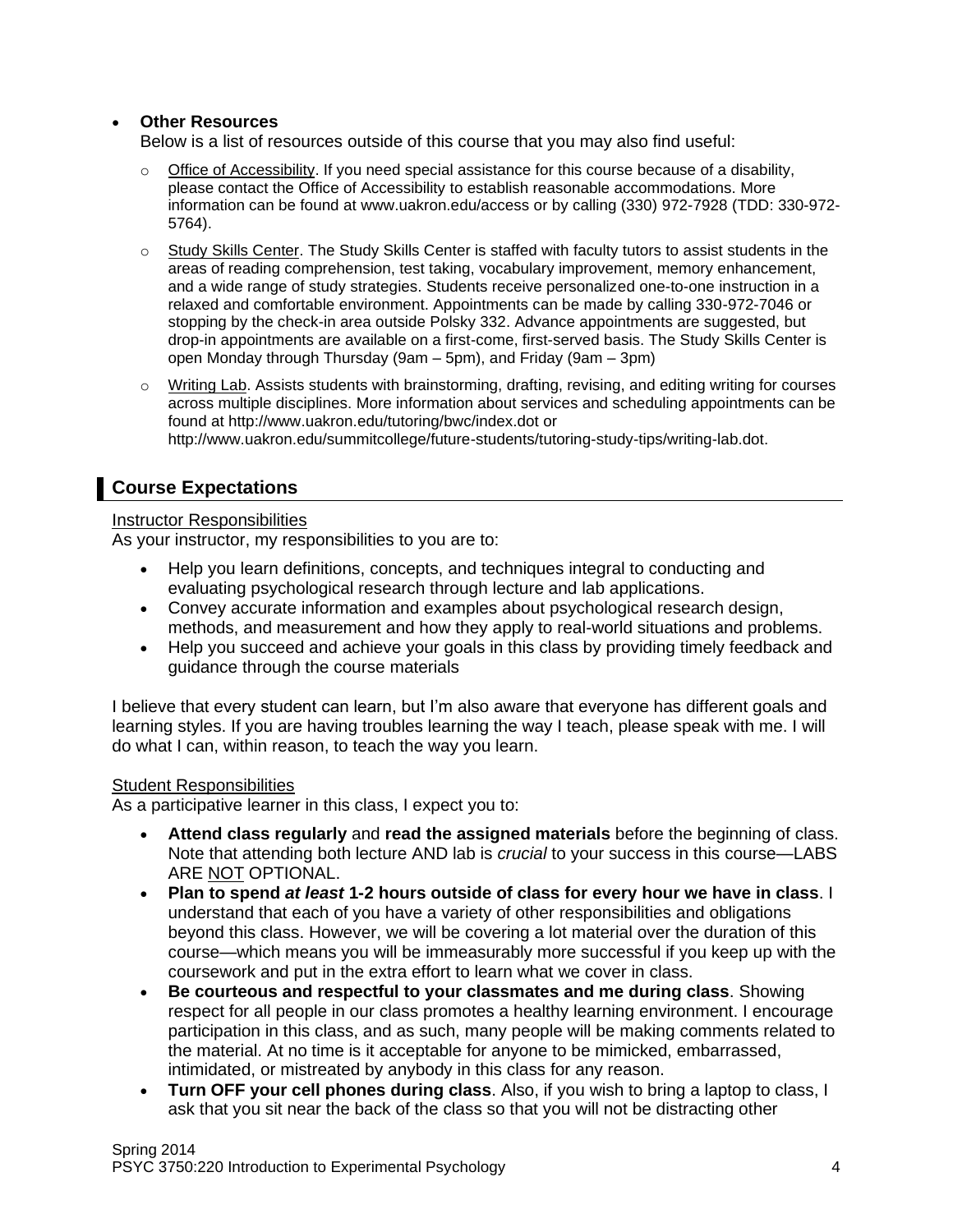### • **Other Resources**

Below is a list of resources outside of this course that you may also find useful:

- $\circ$  Office of Accessibility. If you need special assistance for this course because of a disability, please contact the Office of Accessibility to establish reasonable accommodations. More information can be found at www.uakron.edu/access or by calling (330) 972-7928 (TDD: 330-972- 5764).
- $\circ$  Study Skills Center. The Study Skills Center is staffed with faculty tutors to assist students in the areas of reading comprehension, test taking, vocabulary improvement, memory enhancement, and a wide range of study strategies. Students receive personalized one-to-one instruction in a relaxed and comfortable environment. Appointments can be made by calling 330-972-7046 or stopping by the check-in area outside Polsky 332. Advance appointments are suggested, but drop-in appointments are available on a first-come, first-served basis. The Study Skills Center is open Monday through Thursday (9am – 5pm), and Friday (9am – 3pm)
- $\circ$  Writing Lab. Assists students with brainstorming, drafting, revising, and editing writing for courses across multiple disciplines. More information about services and scheduling appointments can be found at http://www.uakron.edu/tutoring/bwc/index.dot or http://www.uakron.edu/summitcollege/future-students/tutoring-study-tips/writing-lab.dot.

## **Course Expectations**

### Instructor Responsibilities

As your instructor, my responsibilities to you are to:

- Help you learn definitions, concepts, and techniques integral to conducting and evaluating psychological research through lecture and lab applications.
- Convey accurate information and examples about psychological research design, methods, and measurement and how they apply to real-world situations and problems.
- Help you succeed and achieve your goals in this class by providing timely feedback and guidance through the course materials

I believe that every student can learn, but I'm also aware that everyone has different goals and learning styles. If you are having troubles learning the way I teach, please speak with me. I will do what I can, within reason, to teach the way you learn.

### Student Responsibilities

As a participative learner in this class, I expect you to:

- **Attend class regularly** and **read the assigned materials** before the beginning of class. Note that attending both lecture AND lab is *crucial* to your success in this course—LABS ARE NOT OPTIONAL.
- **Plan to spend** *at least* **1-2 hours outside of class for every hour we have in class**. I understand that each of you have a variety of other responsibilities and obligations beyond this class. However, we will be covering a lot material over the duration of this course—which means you will be immeasurably more successful if you keep up with the coursework and put in the extra effort to learn what we cover in class.
- **Be courteous and respectful to your classmates and me during class**. Showing respect for all people in our class promotes a healthy learning environment. I encourage participation in this class, and as such, many people will be making comments related to the material. At no time is it acceptable for anyone to be mimicked, embarrassed, intimidated, or mistreated by anybody in this class for any reason.
- **Turn OFF your cell phones during class**. Also, if you wish to bring a laptop to class, I ask that you sit near the back of the class so that you will not be distracting other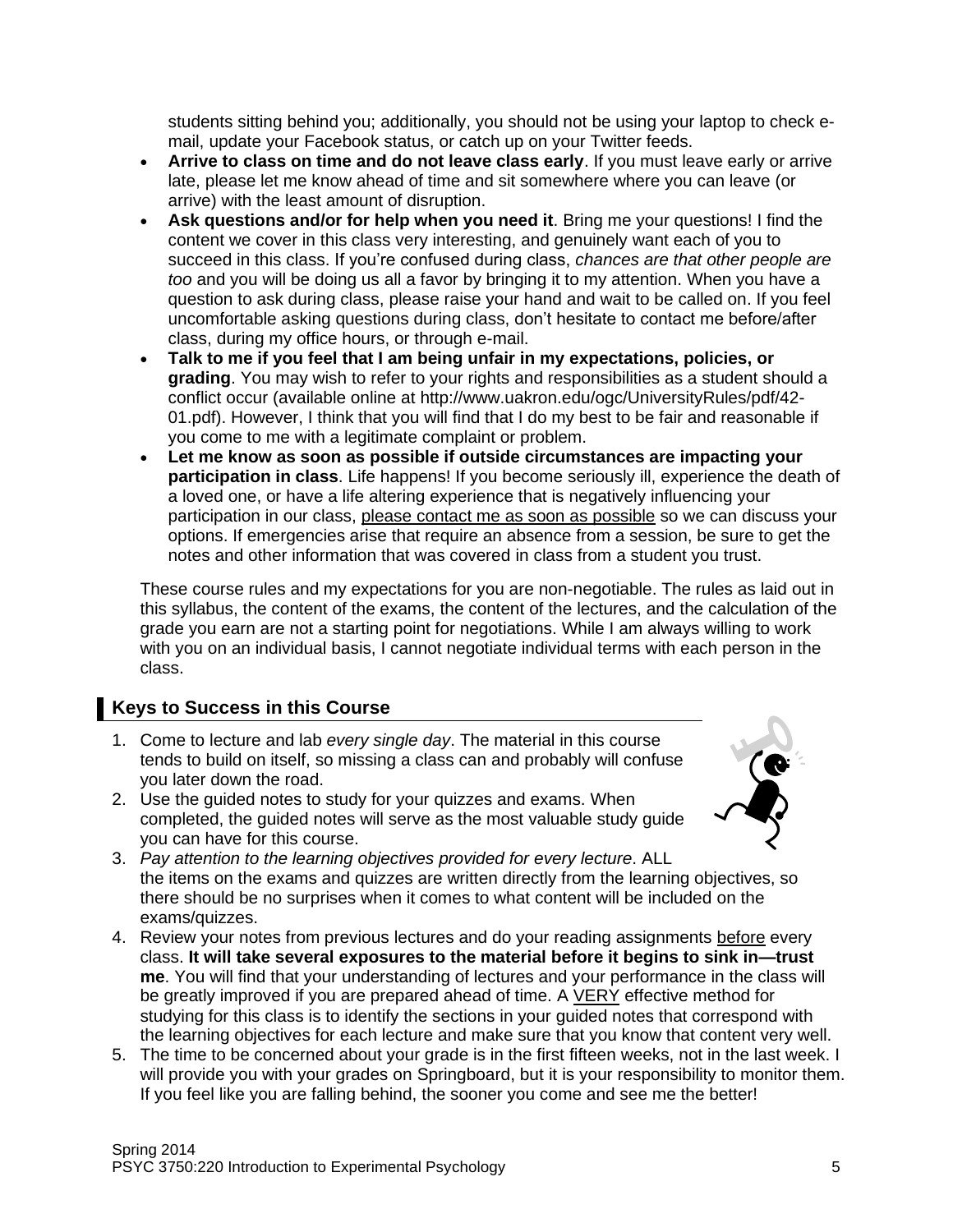students sitting behind you; additionally, you should not be using your laptop to check email, update your Facebook status, or catch up on your Twitter feeds.

- **Arrive to class on time and do not leave class early**. If you must leave early or arrive late, please let me know ahead of time and sit somewhere where you can leave (or arrive) with the least amount of disruption.
- **Ask questions and/or for help when you need it**. Bring me your questions! I find the content we cover in this class very interesting, and genuinely want each of you to succeed in this class. If you're confused during class, *chances are that other people are too* and you will be doing us all a favor by bringing it to my attention. When you have a question to ask during class, please raise your hand and wait to be called on. If you feel uncomfortable asking questions during class, don't hesitate to contact me before/after class, during my office hours, or through e-mail.
- **Talk to me if you feel that I am being unfair in my expectations, policies, or grading**. You may wish to refer to your rights and responsibilities as a student should a conflict occur (available online at http://www.uakron.edu/ogc/UniversityRules/pdf/42- 01.pdf). However, I think that you will find that I do my best to be fair and reasonable if you come to me with a legitimate complaint or problem.
- **Let me know as soon as possible if outside circumstances are impacting your participation in class**. Life happens! If you become seriously ill, experience the death of a loved one, or have a life altering experience that is negatively influencing your participation in our class, please contact me as soon as possible so we can discuss your options. If emergencies arise that require an absence from a session, be sure to get the notes and other information that was covered in class from a student you trust.

These course rules and my expectations for you are non-negotiable. The rules as laid out in this syllabus, the content of the exams, the content of the lectures, and the calculation of the grade you earn are not a starting point for negotiations. While I am always willing to work with you on an individual basis, I cannot negotiate individual terms with each person in the class.

### **Keys to Success in this Course**

- 1. Come to lecture and lab *every single day*. The material in this course tends to build on itself, so missing a class can and probably will confuse you later down the road.
- 2. Use the guided notes to study for your quizzes and exams. When completed, the guided notes will serve as the most valuable study guide you can have for this course.



- 3. *Pay attention to the learning objectives provided for every lecture*. ALL the items on the exams and quizzes are written directly from the learning objectives, so there should be no surprises when it comes to what content will be included on the exams/quizzes.
- 4. Review your notes from previous lectures and do your reading assignments before every class. **It will take several exposures to the material before it begins to sink in—trust me**. You will find that your understanding of lectures and your performance in the class will be greatly improved if you are prepared ahead of time. A VERY effective method for studying for this class is to identify the sections in your guided notes that correspond with the learning objectives for each lecture and make sure that you know that content very well.
- 5. The time to be concerned about your grade is in the first fifteen weeks, not in the last week. I will provide you with your grades on Springboard, but it is your responsibility to monitor them. If you feel like you are falling behind, the sooner you come and see me the better!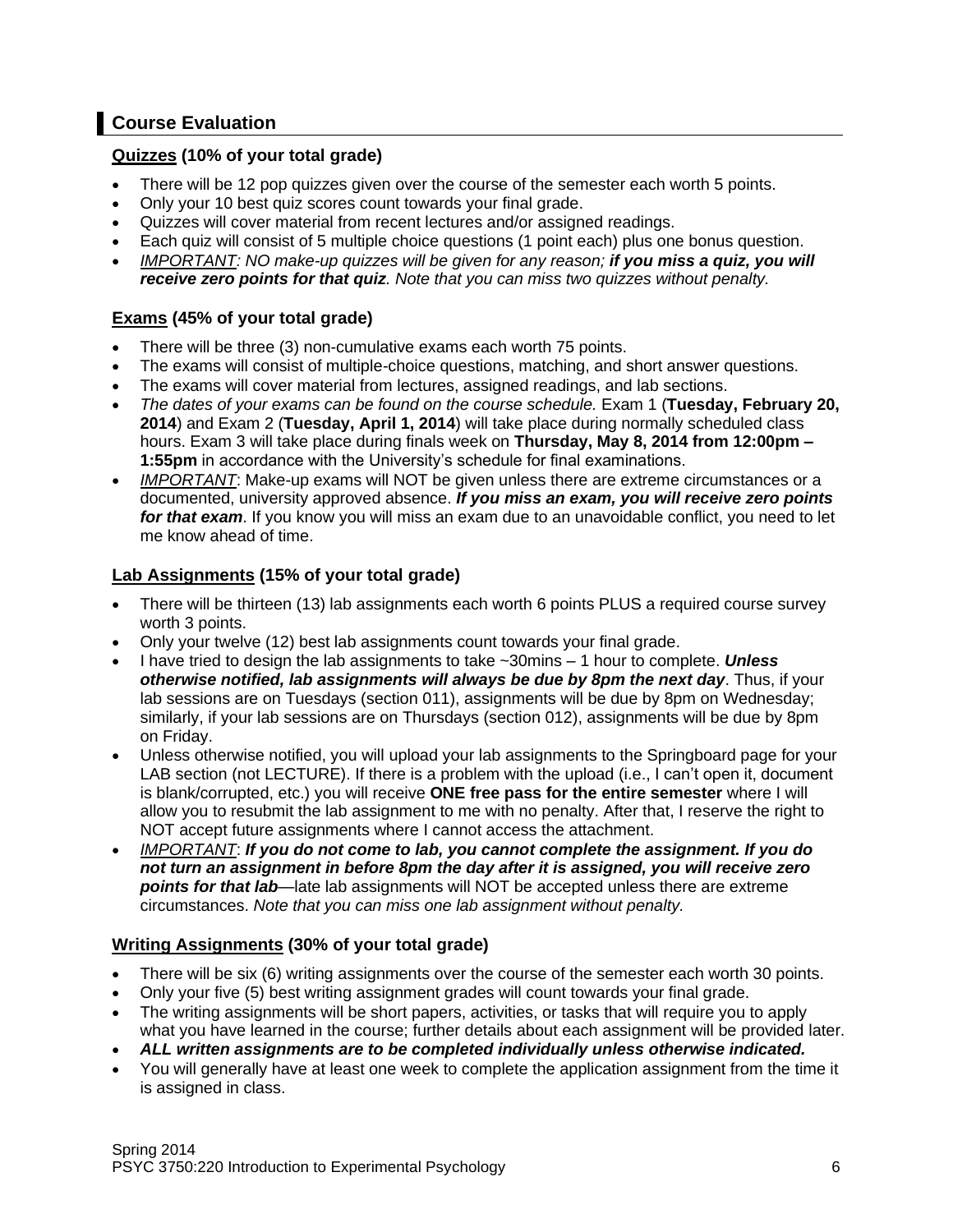## **Course Evaluation**

### **Quizzes (10% of your total grade)**

- There will be 12 pop quizzes given over the course of the semester each worth 5 points.
- Only your 10 best quiz scores count towards your final grade.
- Quizzes will cover material from recent lectures and/or assigned readings.
- Each quiz will consist of 5 multiple choice questions (1 point each) plus one bonus question.
- *IMPORTANT: NO make-up quizzes will be given for any reason; if you miss a quiz, you will receive zero points for that quiz. Note that you can miss two quizzes without penalty.*

### **Exams (45% of your total grade)**

- There will be three (3) non-cumulative exams each worth 75 points.
- The exams will consist of multiple-choice questions, matching, and short answer questions.
- The exams will cover material from lectures, assigned readings, and lab sections.
- *The dates of your exams can be found on the course schedule.* Exam 1 (**Tuesday, February 20, 2014**) and Exam 2 (**Tuesday, April 1, 2014**) will take place during normally scheduled class hours. Exam 3 will take place during finals week on **Thursday, May 8, 2014 from 12:00pm – 1:55pm** in accordance with the University's schedule for final examinations.
- *IMPORTANT*: Make-up exams will NOT be given unless there are extreme circumstances or a documented, university approved absence. *If you miss an exam, you will receive zero points for that exam*. If you know you will miss an exam due to an unavoidable conflict, you need to let me know ahead of time.

### **Lab Assignments (15% of your total grade)**

- There will be thirteen (13) lab assignments each worth 6 points PLUS a required course survey worth 3 points.
- Only your twelve (12) best lab assignments count towards your final grade.
- I have tried to design the lab assignments to take ~30mins 1 hour to complete. *Unless otherwise notified, lab assignments will always be due by 8pm the next day*. Thus, if your lab sessions are on Tuesdays (section 011), assignments will be due by 8pm on Wednesday; similarly, if your lab sessions are on Thursdays (section 012), assignments will be due by 8pm on Friday.
- Unless otherwise notified, you will upload your lab assignments to the Springboard page for your LAB section (not LECTURE). If there is a problem with the upload (i.e., I can't open it, document is blank/corrupted, etc.) you will receive **ONE free pass for the entire semester** where I will allow you to resubmit the lab assignment to me with no penalty. After that, I reserve the right to NOT accept future assignments where I cannot access the attachment.
- *IMPORTANT*: *If you do not come to lab, you cannot complete the assignment. If you do not turn an assignment in before 8pm the day after it is assigned, you will receive zero points for that lab*—late lab assignments will NOT be accepted unless there are extreme circumstances. *Note that you can miss one lab assignment without penalty.*

### **Writing Assignments (30% of your total grade)**

- There will be six (6) writing assignments over the course of the semester each worth 30 points.
- Only your five (5) best writing assignment grades will count towards your final grade.
- The writing assignments will be short papers, activities, or tasks that will require you to apply what you have learned in the course; further details about each assignment will be provided later.
- *ALL written assignments are to be completed individually unless otherwise indicated.*
- You will generally have at least one week to complete the application assignment from the time it is assigned in class.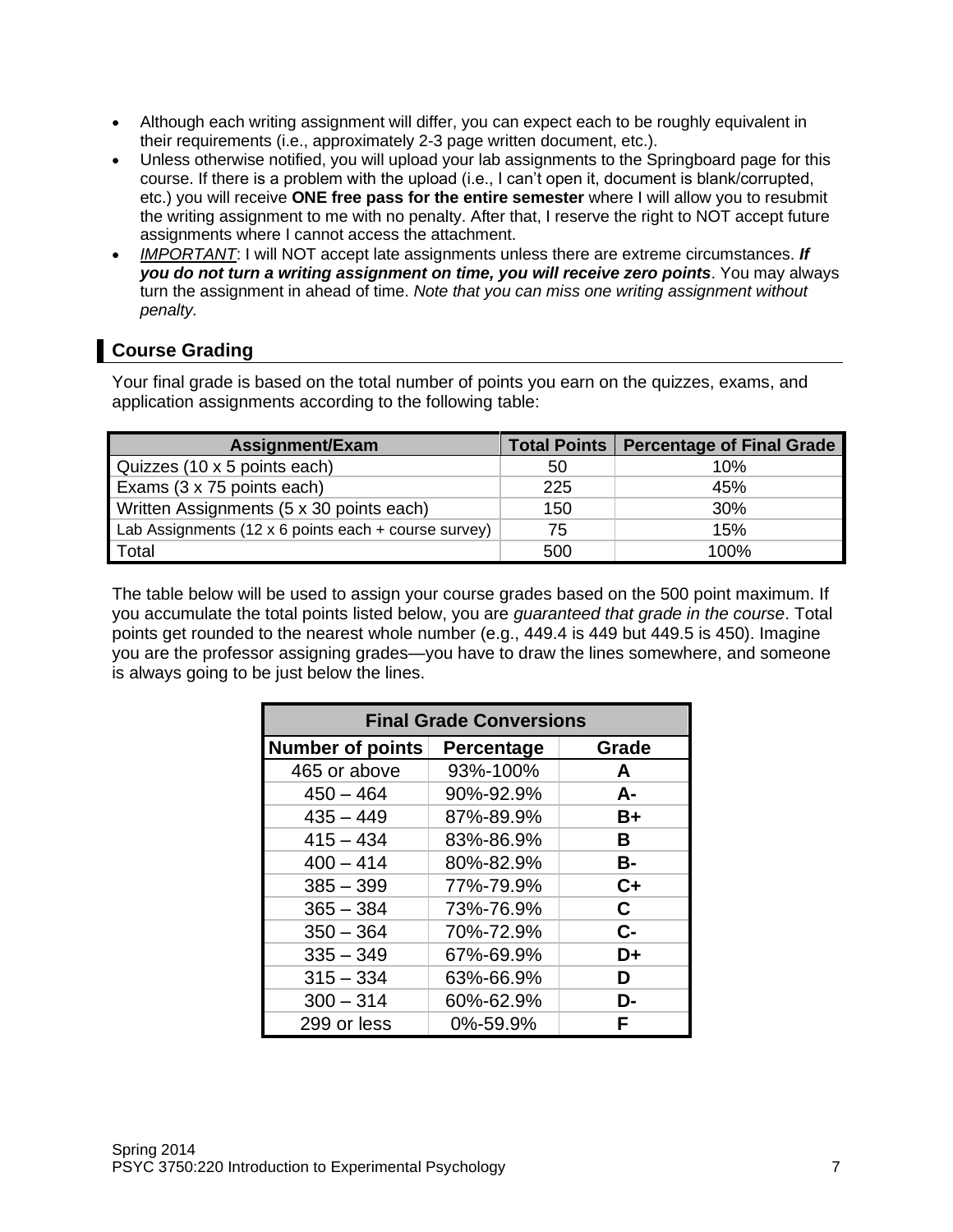- Although each writing assignment will differ, you can expect each to be roughly equivalent in their requirements (i.e., approximately 2-3 page written document, etc.).
- Unless otherwise notified, you will upload your lab assignments to the Springboard page for this course. If there is a problem with the upload (i.e., I can't open it, document is blank/corrupted, etc.) you will receive **ONE free pass for the entire semester** where I will allow you to resubmit the writing assignment to me with no penalty. After that, I reserve the right to NOT accept future assignments where I cannot access the attachment.
- *IMPORTANT*: I will NOT accept late assignments unless there are extreme circumstances. *If you do not turn a writing assignment on time, you will receive zero points*. You may always turn the assignment in ahead of time. *Note that you can miss one writing assignment without penalty.*

## **Course Grading**

Your final grade is based on the total number of points you earn on the quizzes, exams, and application assignments according to the following table:

| Assignment/Exam                                      |     | Total Points   Percentage of Final Grade |
|------------------------------------------------------|-----|------------------------------------------|
| Quizzes (10 x 5 points each)                         | 50  | 10%                                      |
| Exams (3 x 75 points each)                           | 225 | 45%                                      |
| Written Assignments (5 x 30 points each)             | 150 | 30%                                      |
| Lab Assignments (12 x 6 points each + course survey) | 75  | 15%                                      |
| Total                                                | 500 | 100%                                     |

The table below will be used to assign your course grades based on the 500 point maximum. If you accumulate the total points listed below, you are *guaranteed that grade in the course*. Total points get rounded to the nearest whole number (e.g., 449.4 is 449 but 449.5 is 450). Imagine you are the professor assigning grades—you have to draw the lines somewhere, and someone is always going to be just below the lines.

| <b>Final Grade Conversions</b> |            |       |  |
|--------------------------------|------------|-------|--|
| <b>Number of points</b>        | Percentage | Grade |  |
| 465 or above                   | 93%-100%   | A     |  |
| $450 - 464$                    | 90%-92.9%  | А-    |  |
| $435 - 449$                    | 87%-89.9%  | $B+$  |  |
| $415 - 434$                    | 83%-86.9%  | В     |  |
| $400 - 414$                    | 80%-82.9%  | В-    |  |
| $385 - 399$                    | 77%-79.9%  | $C+$  |  |
| $365 - 384$                    | 73%-76.9%  | C.    |  |
| $350 - 364$                    | 70%-72.9%  | $C -$ |  |
| $335 - 349$                    | 67%-69.9%  | D+    |  |
| $315 - 334$                    | 63%-66.9%  | D     |  |
| $300 - 314$                    | 60%-62.9%  | D-    |  |
| 299 or less                    | 0%-59.9%   | F     |  |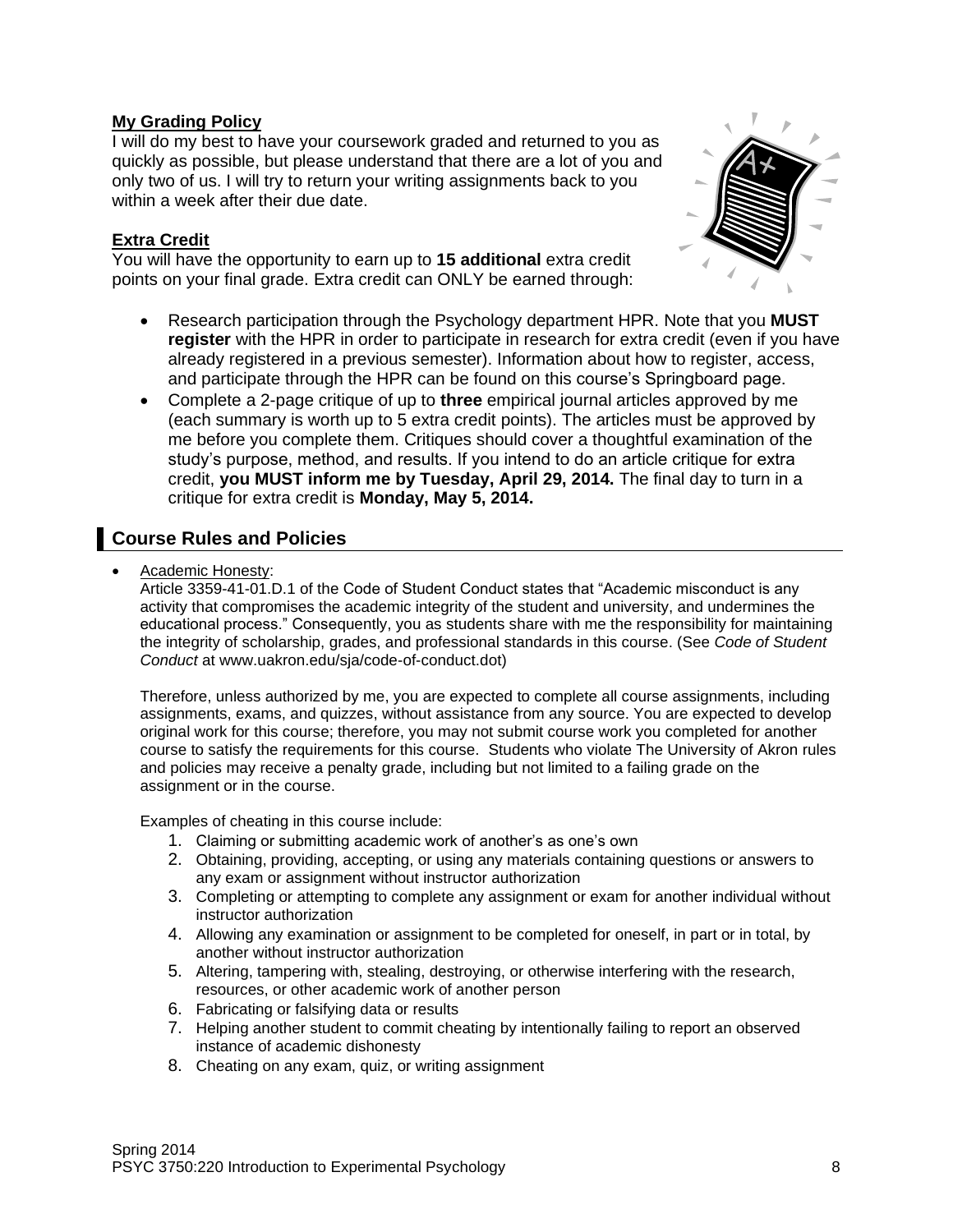### **My Grading Policy**

I will do my best to have your coursework graded and returned to you as quickly as possible, but please understand that there are a lot of you and only two of us. I will try to return your writing assignments back to you within a week after their due date.

### **Extra Credit**

You will have the opportunity to earn up to **15 additional** extra credit points on your final grade. Extra credit can ONLY be earned through:



- Research participation through the Psychology department HPR. Note that you **MUST register** with the HPR in order to participate in research for extra credit (even if you have already registered in a previous semester). Information about how to register, access, and participate through the HPR can be found on this course's Springboard page.
- Complete a 2-page critique of up to **three** empirical journal articles approved by me (each summary is worth up to 5 extra credit points). The articles must be approved by me before you complete them. Critiques should cover a thoughtful examination of the study's purpose, method, and results. If you intend to do an article critique for extra credit, **you MUST inform me by Tuesday, April 29, 2014.** The final day to turn in a critique for extra credit is **Monday, May 5, 2014.**

### **Course Rules and Policies**

• Academic Honesty:

Article 3359-41-01.D.1 of the Code of Student Conduct states that "Academic misconduct is any activity that compromises the academic integrity of the student and university, and undermines the educational process." Consequently, you as students share with me the responsibility for maintaining the integrity of scholarship, grades, and professional standards in this course. (See *Code of Student Conduct* at www.uakron.edu/sja/code-of-conduct.dot)

Therefore, unless authorized by me, you are expected to complete all course assignments, including assignments, exams, and quizzes, without assistance from any source. You are expected to develop original work for this course; therefore, you may not submit course work you completed for another course to satisfy the requirements for this course. Students who violate The University of Akron rules and policies may receive a penalty grade, including but not limited to a failing grade on the assignment or in the course.

Examples of cheating in this course include:

- 1. Claiming or submitting academic work of another's as one's own
- 2. Obtaining, providing, accepting, or using any materials containing questions or answers to any exam or assignment without instructor authorization
- 3. Completing or attempting to complete any assignment or exam for another individual without instructor authorization
- 4. Allowing any examination or assignment to be completed for oneself, in part or in total, by another without instructor authorization
- 5. Altering, tampering with, stealing, destroying, or otherwise interfering with the research, resources, or other academic work of another person
- 6. Fabricating or falsifying data or results
- 7. Helping another student to commit cheating by intentionally failing to report an observed instance of academic dishonesty
- 8. Cheating on any exam, quiz, or writing assignment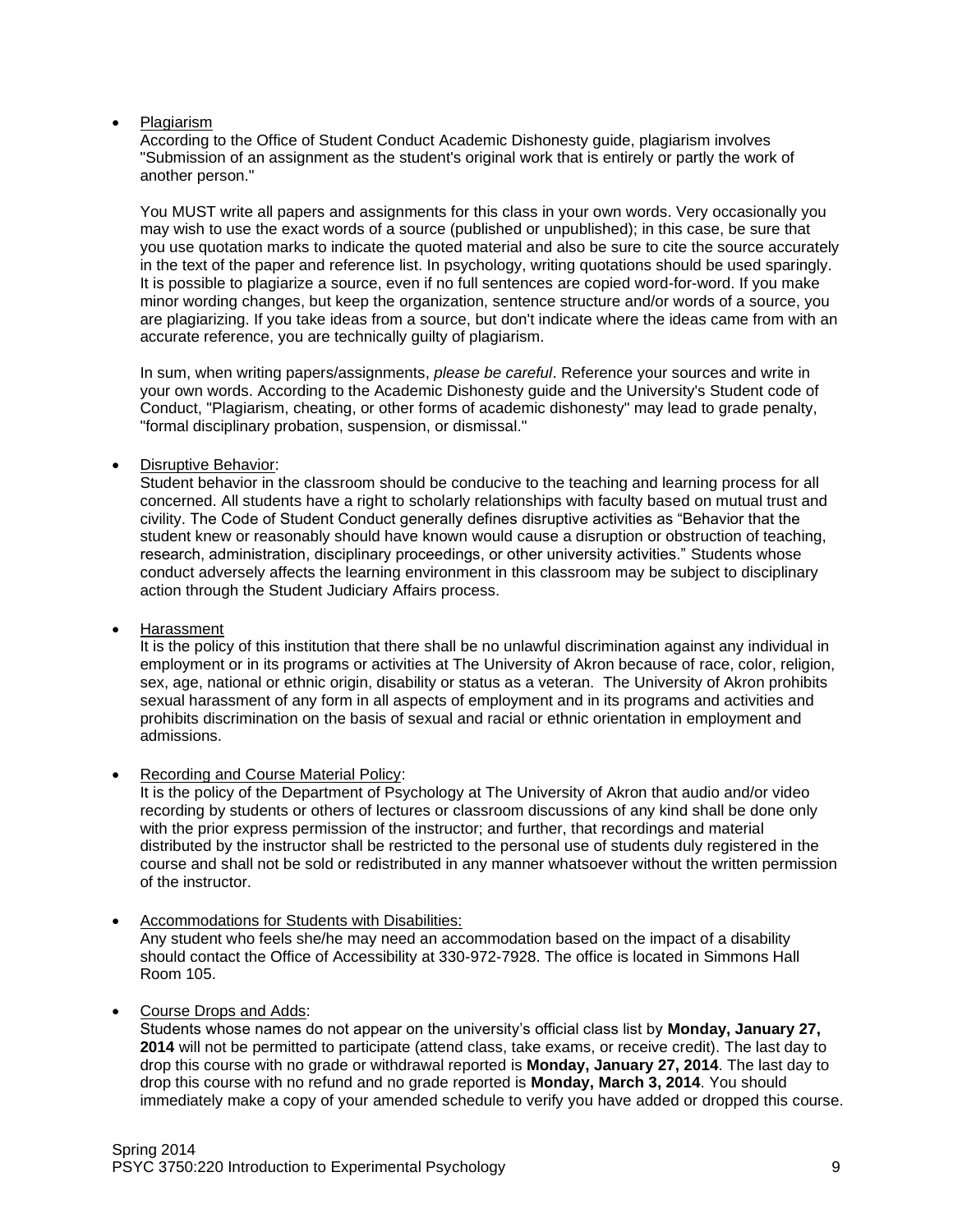#### • Plagiarism

According to the Office of Student Conduct Academic Dishonesty guide, plagiarism involves "Submission of an assignment as the student's original work that is entirely or partly the work of another person."

You MUST write all papers and assignments for this class in your own words. Very occasionally you may wish to use the exact words of a source (published or unpublished); in this case, be sure that you use quotation marks to indicate the quoted material and also be sure to cite the source accurately in the text of the paper and reference list. In psychology, writing quotations should be used sparingly. It is possible to plagiarize a source, even if no full sentences are copied word-for-word. If you make minor wording changes, but keep the organization, sentence structure and/or words of a source, you are plagiarizing. If you take ideas from a source, but don't indicate where the ideas came from with an accurate reference, you are technically guilty of plagiarism.

In sum, when writing papers/assignments, *please be careful*. Reference your sources and write in your own words. According to the Academic Dishonesty guide and the University's Student code of Conduct, "Plagiarism, cheating, or other forms of academic dishonesty" may lead to grade penalty, "formal disciplinary probation, suspension, or dismissal."

#### • Disruptive Behavior:

Student behavior in the classroom should be conducive to the teaching and learning process for all concerned. All students have a right to scholarly relationships with faculty based on mutual trust and civility. The Code of Student Conduct generally defines disruptive activities as "Behavior that the student knew or reasonably should have known would cause a disruption or obstruction of teaching, research, administration, disciplinary proceedings, or other university activities." Students whose conduct adversely affects the learning environment in this classroom may be subject to disciplinary action through the Student Judiciary Affairs process.

• Harassment

It is the policy of this institution that there shall be no unlawful discrimination against any individual in employment or in its programs or activities at The University of Akron because of race, color, religion, sex, age, national or ethnic origin, disability or status as a veteran. The University of Akron prohibits sexual harassment of any form in all aspects of employment and in its programs and activities and prohibits discrimination on the basis of sexual and racial or ethnic orientation in employment and admissions.

Recording and Course Material Policy:

It is the policy of the Department of Psychology at The University of Akron that audio and/or video recording by students or others of lectures or classroom discussions of any kind shall be done only with the prior express permission of the instructor; and further, that recordings and material distributed by the instructor shall be restricted to the personal use of students duly registered in the course and shall not be sold or redistributed in any manner whatsoever without the written permission of the instructor.

- Accommodations for Students with Disabilities: Any student who feels she/he may need an accommodation based on the impact of a disability should contact the Office of Accessibility at 330-972-7928. The office is located in Simmons Hall Room 105.
- Course Drops and Adds:

Students whose names do not appear on the university's official class list by **Monday, January 27, 2014** will not be permitted to participate (attend class, take exams, or receive credit). The last day to drop this course with no grade or withdrawal reported is **Monday, January 27, 2014**. The last day to drop this course with no refund and no grade reported is **Monday, March 3, 2014**. You should immediately make a copy of your amended schedule to verify you have added or dropped this course.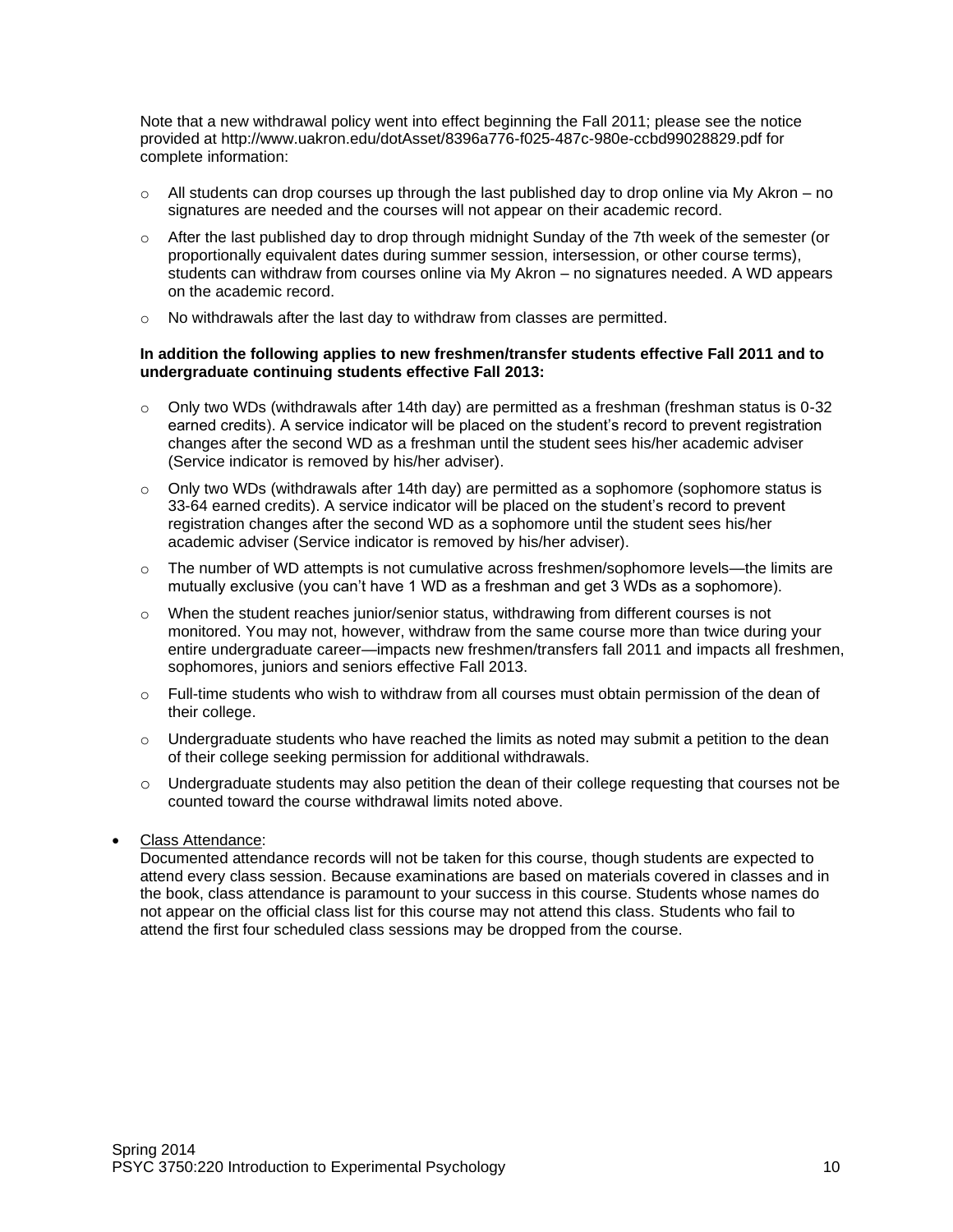Note that a new withdrawal policy went into effect beginning the Fall 2011; please see the notice provided at http://www.uakron.edu/dotAsset/8396a776-f025-487c-980e-ccbd99028829.pdf for complete information:

- $\circ$  All students can drop courses up through the last published day to drop online via My Akron no signatures are needed and the courses will not appear on their academic record.
- $\circ$  After the last published day to drop through midnight Sunday of the 7th week of the semester (or proportionally equivalent dates during summer session, intersession, or other course terms), students can withdraw from courses online via My Akron – no signatures needed. A WD appears on the academic record.
- o No withdrawals after the last day to withdraw from classes are permitted.

#### **In addition the following applies to new freshmen/transfer students effective Fall 2011 and to undergraduate continuing students effective Fall 2013:**

- $\circ$  Only two WDs (withdrawals after 14th day) are permitted as a freshman (freshman status is 0-32 earned credits). A service indicator will be placed on the student's record to prevent registration changes after the second WD as a freshman until the student sees his/her academic adviser (Service indicator is removed by his/her adviser).
- $\circ$  Only two WDs (withdrawals after 14th day) are permitted as a sophomore (sophomore status is 33-64 earned credits). A service indicator will be placed on the student's record to prevent registration changes after the second WD as a sophomore until the student sees his/her academic adviser (Service indicator is removed by his/her adviser).
- $\circ$  The number of WD attempts is not cumulative across freshmen/sophomore levels—the limits are mutually exclusive (you can't have 1 WD as a freshman and get 3 WDs as a sophomore).
- $\circ$  When the student reaches junior/senior status, withdrawing from different courses is not monitored. You may not, however, withdraw from the same course more than twice during your entire undergraduate career—impacts new freshmen/transfers fall 2011 and impacts all freshmen, sophomores, juniors and seniors effective Fall 2013.
- $\circ$  Full-time students who wish to withdraw from all courses must obtain permission of the dean of their college.
- $\circ$  Undergraduate students who have reached the limits as noted may submit a petition to the dean of their college seeking permission for additional withdrawals.
- o Undergraduate students may also petition the dean of their college requesting that courses not be counted toward the course withdrawal limits noted above.
- Class Attendance:

Documented attendance records will not be taken for this course, though students are expected to attend every class session. Because examinations are based on materials covered in classes and in the book, class attendance is paramount to your success in this course. Students whose names do not appear on the official class list for this course may not attend this class. Students who fail to attend the first four scheduled class sessions may be dropped from the course.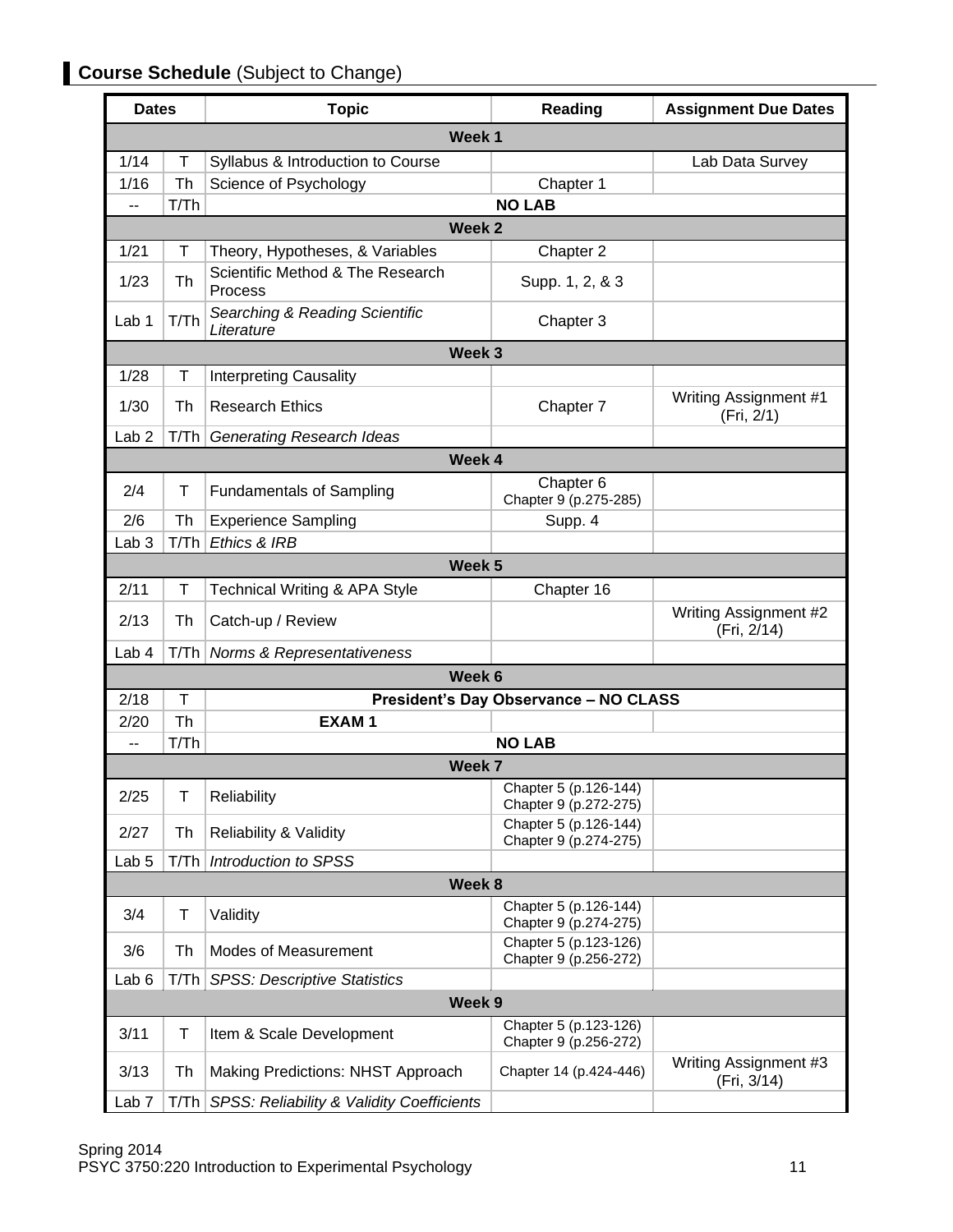## **Course Schedule** (Subject to Change)

| <b>Dates</b>     |      | <b>Topic</b>                                 | Reading                                        | <b>Assignment Due Dates</b>          |
|------------------|------|----------------------------------------------|------------------------------------------------|--------------------------------------|
|                  |      | Week <sub>1</sub>                            |                                                |                                      |
| 1/14             | Τ    | Syllabus & Introduction to Course            |                                                | Lab Data Survey                      |
| 1/16             | Th   | Science of Psychology                        | Chapter 1                                      |                                      |
| --               | T/Th |                                              | <b>NO LAB</b>                                  |                                      |
|                  |      | Week <sub>2</sub>                            |                                                |                                      |
| 1/21             | Τ    | Theory, Hypotheses, & Variables              | Chapter 2                                      |                                      |
| 1/23             | Th   | Scientific Method & The Research<br>Process  | Supp. 1, 2, & 3                                |                                      |
| Lab 1            | T/Th | Searching & Reading Scientific<br>Literature | Chapter 3                                      |                                      |
|                  |      | Week 3                                       |                                                |                                      |
| 1/28             | т    | <b>Interpreting Causality</b>                |                                                |                                      |
| 1/30             | Th   | <b>Research Ethics</b>                       | Chapter 7                                      | Writing Assignment #1<br>(Fri, 2/1)  |
| Lab <sub>2</sub> | T/Th | <b>Generating Research Ideas</b>             |                                                |                                      |
|                  |      | Week 4                                       |                                                |                                      |
| 2/4              | T    | <b>Fundamentals of Sampling</b>              | Chapter <sub>6</sub><br>Chapter 9 (p.275-285)  |                                      |
| 2/6              | Th   | <b>Experience Sampling</b>                   | Supp. 4                                        |                                      |
| Lab <sub>3</sub> | T/Th | Ethics & IRB                                 |                                                |                                      |
|                  |      | Week 5                                       |                                                |                                      |
| 2/11             | Τ    | <b>Technical Writing &amp; APA Style</b>     | Chapter 16                                     |                                      |
| 2/13             | Th   | Catch-up / Review                            |                                                | Writing Assignment #2<br>(Fri, 2/14) |
| Lab 4            | T/Th | <b>Norms &amp; Representativeness</b>        |                                                |                                      |
|                  |      | Week 6                                       |                                                |                                      |
| 2/18             | T    |                                              | <b>President's Day Observance - NO CLASS</b>   |                                      |
| 2/20             | Th   | <b>EXAM1</b>                                 |                                                |                                      |
| $-$              | T/Th |                                              | <b>NO LAB</b>                                  |                                      |
|                  |      | Week 7                                       |                                                |                                      |
| 2/25             | T    | Reliability                                  | Chapter 5 (p.126-144)<br>Chapter 9 (p.272-275) |                                      |
| 2/27             | Th   | <b>Reliability &amp; Validity</b>            | Chapter 5 (p.126-144)<br>Chapter 9 (p.274-275) |                                      |
| Lab <sub>5</sub> | T/Th | Introduction to SPSS                         |                                                |                                      |
| Week 8           |      |                                              |                                                |                                      |
| 3/4              | Τ    | Validity                                     | Chapter 5 (p.126-144)<br>Chapter 9 (p.274-275) |                                      |
| 3/6              | Th   | Modes of Measurement                         | Chapter 5 (p.123-126)<br>Chapter 9 (p.256-272) |                                      |
| Lab <sub>6</sub> | T/Th | <b>SPSS: Descriptive Statistics</b>          |                                                |                                      |
| Week 9           |      |                                              |                                                |                                      |
| 3/11             | T    | Item & Scale Development                     | Chapter 5 (p.123-126)<br>Chapter 9 (p.256-272) |                                      |
| 3/13             | Th   | Making Predictions: NHST Approach            | Chapter 14 (p.424-446)                         | Writing Assignment #3<br>(Fri, 3/14) |
| Lab <sub>7</sub> | T/Th | SPSS: Reliability & Validity Coefficients    |                                                |                                      |